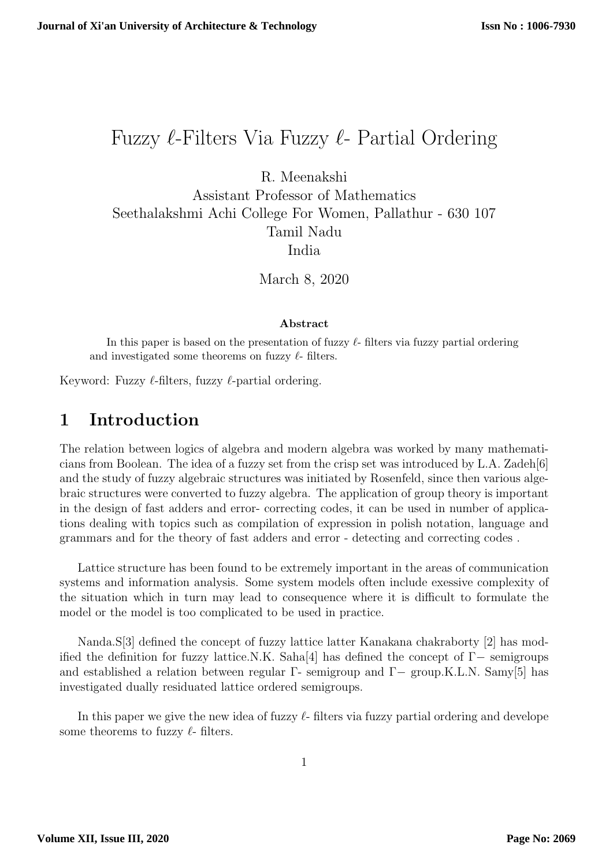# Fuzzy  $\ell$ -Filters Via Fuzzy  $\ell$ - Partial Ordering

R. Meenakshi

Assistant Professor of Mathematics Seethalakshmi Achi College For Women, Pallathur - 630 107 Tamil Nadu India

March 8, 2020

#### Abstract

In this paper is based on the presentation of fuzzy  $\ell$ - filters via fuzzy partial ordering and investigated some theorems on fuzzy  $\ell$ - filters.

Keyword: Fuzzy  $\ell$ -filters, fuzzy  $\ell$ -partial ordering.

#### 1 Introduction

The relation between logics of algebra and modern algebra was worked by many mathematicians from Boolean. The idea of a fuzzy set from the crisp set was introduced by L.A. Zadeh[6] and the study of fuzzy algebraic structures was initiated by Rosenfeld, since then various algebraic structures were converted to fuzzy algebra. The application of group theory is important in the design of fast adders and error- correcting codes, it can be used in number of applications dealing with topics such as compilation of expression in polish notation, language and grammars and for the theory of fast adders and error - detecting and correcting codes .

Lattice structure has been found to be extremely important in the areas of communication systems and information analysis. Some system models often include exessive complexity of the situation which in turn may lead to consequence where it is difficult to formulate the model or the model is too complicated to be used in practice.

Nanda.S[3] defined the concept of fuzzy lattice latter Kanakana chakraborty [2] has modified the definition for fuzzy lattice.N.K. Saha[4] has defined the concept of  $\Gamma-$  semigroups and established a relation between regular Γ- semigroup and Γ- group.K.L.N. Samy[5] has investigated dually residuated lattice ordered semigroups.

In this paper we give the new idea of fuzzy  $\ell$ - filters via fuzzy partial ordering and develope some theorems to fuzzy  $\ell$ - filters.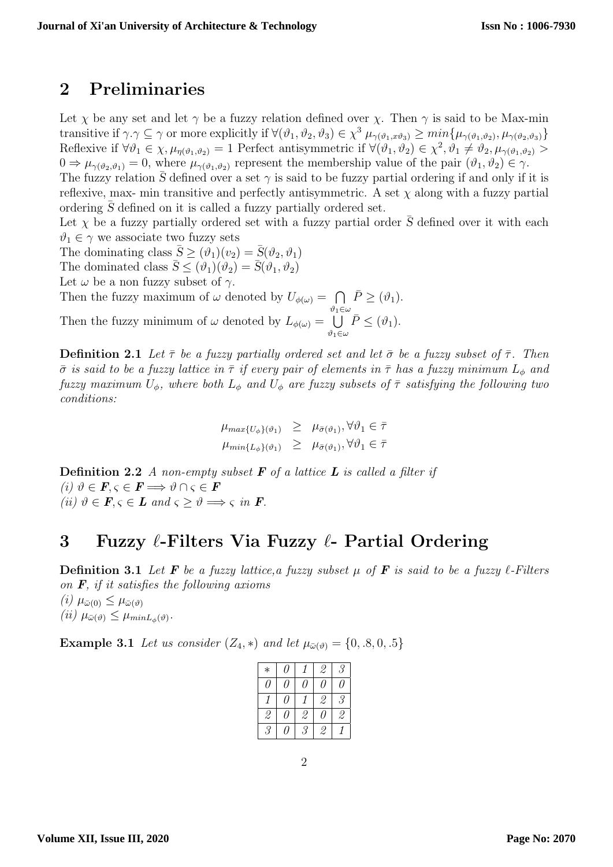### 2 Preliminaries

Let  $\chi$  be any set and let  $\gamma$  be a fuzzy relation defined over  $\chi$ . Then  $\gamma$  is said to be Max-min transitive if  $\gamma.\gamma \subseteq \gamma$  or more explicitly if  $\forall (\vartheta_1, \vartheta_2, \vartheta_3) \in \chi^3$   $\mu_{\gamma(\vartheta_1, x\vartheta_3)} \geq min\{\mu_{\gamma(\vartheta_1, \vartheta_2)}, \mu_{\gamma(\vartheta_2, \vartheta_3)}\}$ Reflexive if  $\forall \theta_1 \in \chi, \mu_{\eta(\theta_1, \theta_2)} = 1$  Perfect antisymmetric if  $\forall (\theta_1, \theta_2) \in \chi^2, \theta_1 \neq \theta_2, \mu_{\gamma(\theta_1, \theta_2)} >$  $0 \Rightarrow \mu_{\gamma(\vartheta_2, \vartheta_1)} = 0$ , where  $\mu_{\gamma(\vartheta_1, \vartheta_2)}$  represent the membership value of the pair  $(\vartheta_1, \vartheta_2) \in \gamma$ . The fuzzy relation  $\bar{S}$  defined over a set  $\gamma$  is said to be fuzzy partial ordering if and only if it is reflexive, max- min transitive and perfectly antisymmetric. A set  $\chi$  along with a fuzzy partial ordering  $S$  defined on it is called a fuzzy partially ordered set.

Let  $\chi$  be a fuzzy partially ordered set with a fuzzy partial order  $\bar{S}$  defined over it with each  $\vartheta_1 \in \gamma$  we associate two fuzzy sets

The dominating class  $\bar{S} \geq (\vartheta_1)(v_2) = \bar{S}(\vartheta_2, \vartheta_1)$ The dominated class  $\bar{S} \leq (\vartheta_1)(\vartheta_2) = \bar{S}(\vartheta_1, \vartheta_2)$ Let  $\omega$  be a non fuzzy subset of  $\gamma$ .

Then the fuzzy maximum of  $\omega$  denoted by  $U_{\phi(\omega)} = \bigcap \overline{P} \geq (\vartheta_1)$ .

 $\vartheta_1\in\omega$ Then the fuzzy minimum of  $\omega$  denoted by  $L_{\phi(\omega)} = \bigcup$  $\vartheta_1\in\omega$  $\bar{P} \leq (\vartheta_1).$ 

**Definition 2.1** Let  $\bar{\tau}$  be a fuzzy partially ordered set and let  $\bar{\sigma}$  be a fuzzy subset of  $\bar{\tau}$ . Then  $\bar{\sigma}$  is said to be a fuzzy lattice in  $\bar{\tau}$  if every pair of elements in  $\bar{\tau}$  has a fuzzy minimum  $L_{\phi}$  and fuzzy maximum  $U_{\phi}$ , where both  $L_{\phi}$  and  $U_{\phi}$  are fuzzy subsets of  $\bar{\tau}$  satisfying the following two conditions:

$$
\mu_{max{U_{\phi}\}}_{(\vartheta_1)} \geq \mu_{\bar{\sigma}(\vartheta_1)}, \forall \vartheta_1 \in \bar{\tau}
$$
  

$$
\mu_{min{L_{\phi}\}}_{(\vartheta_1)} \geq \mu_{\bar{\sigma}(\vartheta_1)}, \forall \vartheta_1 \in \bar{\tau}
$$

**Definition 2.2** A non-empty subset  $\bf{F}$  of a lattice  $\bf{L}$  is called a filter if (i)  $\vartheta \in \mathbf{F}, \varsigma \in \mathbf{F} \Longrightarrow \vartheta \cap \varsigma \in \mathbf{F}$ (ii)  $\vartheta \in \mathbf{F}, \varsigma \in \mathbf{L}$  and  $\varsigma > \vartheta \Longrightarrow \varsigma$  in  $\mathbf{F}$ .

## 3 Fuzzy  $\ell$ -Filters Via Fuzzy  $\ell$ - Partial Ordering

**Definition 3.1** Let **F** be a fuzzy lattice, a fuzzy subset  $\mu$  of **F** is said to be a fuzzy  $\ell$ -Filters on  $\bm{F}$ , if it satisfies the following axioms  $(i)$   $\mu_{\bar{\omega}(0)} \leq \mu_{\bar{\omega}(0)}$ (*ii*)  $\mu_{\bar{\omega}(\vartheta)} \leq \mu_{minL_{\phi}(\vartheta)}$ .

**Example 3.1** Let us consider  $(Z_4, *)$  and let  $\mu_{\bar{\omega}(\vartheta)} = \{0, .8, 0, .5\}$ 

| $\ast$        | I I |               | 2             | 3                               |
|---------------|-----|---------------|---------------|---------------------------------|
| I I           | I I | 11            | 7             | I I                             |
|               | I I |               | $\mathcal{Q}$ | 3                               |
| 2             | 11  | $\mathcal{Q}$ | 7             | $\frac{\partial}{\partial x^2}$ |
| $\mathcal{S}$ | ( I | $\mathcal{S}$ | $\mathcal{Q}$ |                                 |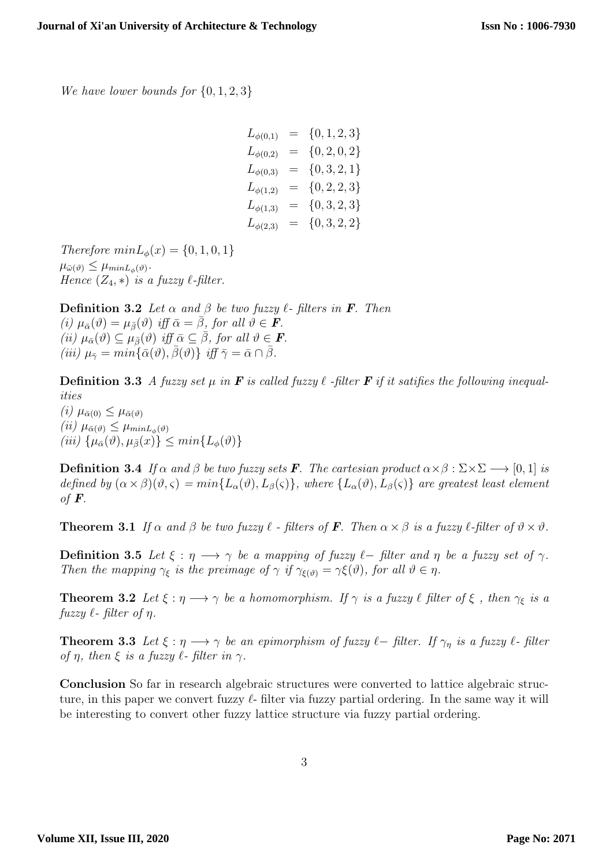We have lower bounds for  $\{0, 1, 2, 3\}$ 

| $L_{\phi(0,1)}$ |     | $= \{0, 1, 2, 3\}$ |
|-----------------|-----|--------------------|
| $L_{\phi(0,2)}$ | $=$ | $\{0, 2, 0, 2\}$   |
| $L_{\phi(0,3)}$ |     | $= \{0,3,2,1\}$    |
| $L_{\phi(1,2)}$ | $=$ | ${0, 2, 2, 3}$     |
| $L_{\phi(1,3)}$ | $=$ | ${0, 3, 2, 3}$     |
| $L_{\phi(2,3)}$ |     | $= \{0,3,2,2\}$    |

Therefore  $minL_{\phi}(x) = \{0, 1, 0, 1\}$  $\mu_{\bar{\omega}(\vartheta)} \leq \mu_{minL_{\phi}(\vartheta)}$ . Hence  $(Z_4, *)$  is a fuzzy  $\ell$ -filter.

**Definition 3.2** Let  $\alpha$  and  $\beta$  be two fuzzy  $\ell$ - filters in **F**. Then (i)  $\mu_{\bar{\alpha}}(\vartheta) = \mu_{\bar{\beta}}(\vartheta)$  iff  $\bar{\alpha} = \bar{\beta}$ , for all  $\vartheta \in \mathbf{F}$ . (ii)  $\mu_{\bar{\alpha}}(\vartheta) \subseteq \mu_{\bar{\beta}}(\vartheta)$  iff  $\bar{\alpha} \subseteq \bar{\beta}$ , for all  $\vartheta \in \mathbf{F}$ . (iii)  $\mu_{\bar{\gamma}} = min\{\bar{\alpha}(\vartheta),\bar{\beta}(\vartheta)\}\iff\inf \bar{\gamma}=\bar{\alpha}\cap\bar{\beta}.$ 

**Definition 3.3** A fuzzy set  $\mu$  in **F** is called fuzzy  $\ell$  -filter **F** if it satifies the following inequalities (i)  $\mu_{\bar{\alpha}(0)} \leq \mu_{\bar{\alpha}(0)}$ 

(ii)  $\mu_{\bar{\alpha}(\vartheta)} \leq \mu_{minL_{\phi}(\vartheta)}$ (iii)  $\{\mu_{\bar{\alpha}}(\vartheta), \mu_{\bar{\beta}}(x)\} \leq min\{L_{\phi}(\vartheta)\}\$ 

**Definition 3.4** If  $\alpha$  and  $\beta$  be two fuzzy sets **F**. The cartesian product  $\alpha \times \beta : \Sigma \times \Sigma \longrightarrow [0, 1]$  is defined by  $(\alpha \times \beta)(\vartheta, \varsigma) = min\{L_{\alpha}(\vartheta), L_{\beta}(\varsigma)\}\$ , where  $\{L_{\alpha}(\vartheta), L_{\beta}(\varsigma)\}\$  are greatest least element of  $\boldsymbol{F}$ .

**Theorem 3.1** If  $\alpha$  and  $\beta$  be two fuzzy  $\ell$  - filters of **F**. Then  $\alpha \times \beta$  is a fuzzy  $\ell$ -filter of  $\vartheta \times \vartheta$ .

**Definition 3.5** Let  $\xi : \eta \longrightarrow \gamma$  be a mapping of fuzzy  $\ell$ − filter and  $\eta$  be a fuzzy set of  $\gamma$ . Then the mapping  $\gamma_{\xi}$  is the preimage of  $\gamma$  if  $\gamma_{\xi(\vartheta)} = \gamma \xi(\vartheta)$ , for all  $\vartheta \in \eta$ .

**Theorem 3.2** Let  $\xi : \eta \longrightarrow \gamma$  be a homomorphism. If  $\gamma$  is a fuzzy  $\ell$  filter of  $\xi$ , then  $\gamma_{\xi}$  is a  $fuzzy \ell$ - filter of  $\eta$ .

**Theorem 3.3** Let  $\xi : \eta \longrightarrow \gamma$  be an epimorphism of fuzzy  $\ell$ -filter. If  $\gamma_n$  is a fuzzy  $\ell$ -filter of  $\eta$ , then  $\xi$  is a fuzzy  $\ell$ -filter in  $\gamma$ .

Conclusion So far in research algebraic structures were converted to lattice algebraic structure, in this paper we convert fuzzy  $\ell$ - filter via fuzzy partial ordering. In the same way it will be interesting to convert other fuzzy lattice structure via fuzzy partial ordering.